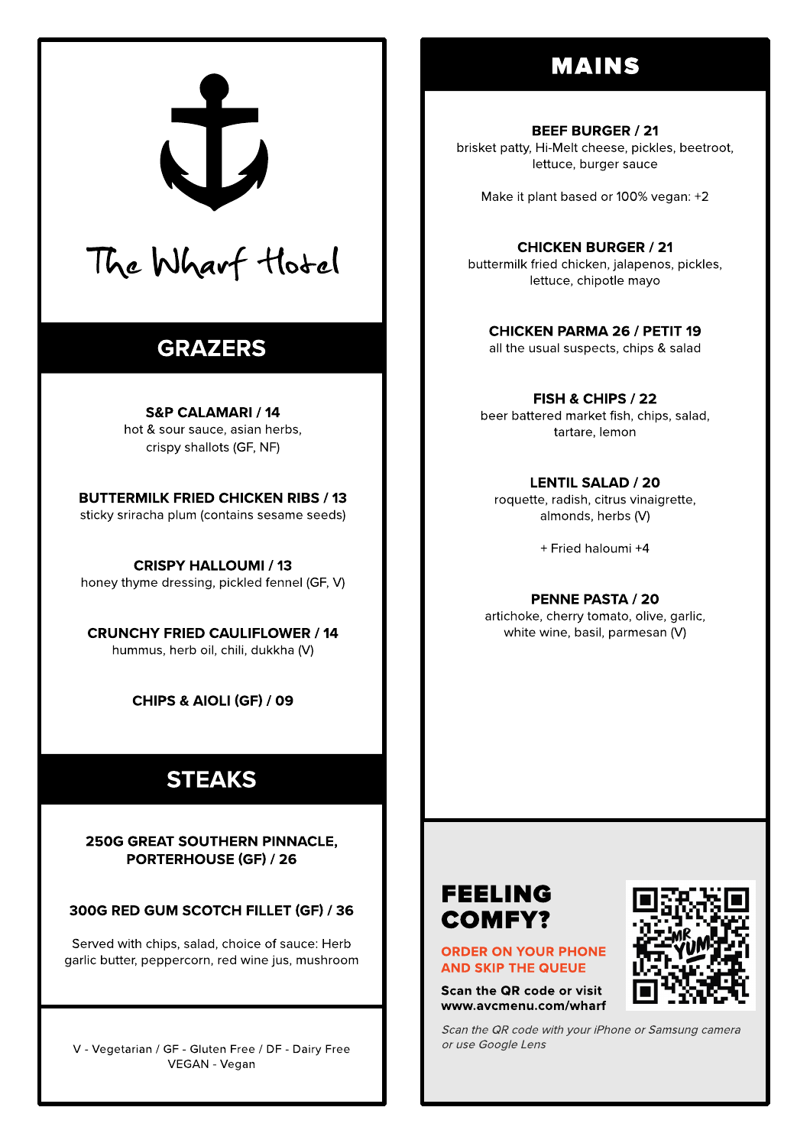# **MAINS**

#### **BEEF BURGER / 21** brisket patty, Hi-Melt cheese, pickles, beetroot, lettuce, burger sauce

Make it plant based or 100% vegan: +2

**CHICKEN BURGER / 21** buttermilk fried chicken, jalapenos, pickles, lettuce, chipotle mayo

**CHICKEN PARMA 26 / PETIT 19** all the usual suspects, chips & salad

FISH & CHIPS / 22 beer battered market fish, chips, salad, tartare, lemon

**LENTIL SALAD / 20** roquette, radish, citrus vinaigrette, almonds, herbs (V)

+ Fried haloumi +4

PENNE PASTA / 20 artichoke, cherry tomato, olive, garlic, white wine, basil, parmesan (V)

# **FEELING COMFY?**

**ORDER ON YOUR PHONE AND SKIP THE QUEUE** 

Scan the QR code or visit www.avcmenu.com/wharf



Scan the QR code with your iPhone or Samsung camera or use Google Lens



# The Wharf Hotel

# **GRAZERS**

**S&P CALAMARI / 14** hot & sour sauce, asian herbs, crispy shallots (GF, NF)

**BUTTERMILK FRIED CHICKEN RIBS / 13** sticky sriracha plum (contains sesame seeds)

**CRISPY HALLOUMI / 13** honey thyme dressing, pickled fennel (GF, V)

**CRUNCHY FRIED CAULIFLOWER / 14** hummus, herb oil, chili, dukkha (V)

CHIPS & AIOLI (GF) / 09

# **STEAKS**

**250G GREAT SOUTHERN PINNACLE. PORTERHOUSE (GF) / 26** 

300G RED GUM SCOTCH FILLET (GF) / 36

Served with chips, salad, choice of sauce: Herb garlic butter, peppercorn, red wine jus, mushroom

V - Vegetarian / GF - Gluten Free / DF - Dairy Free VEGAN - Vegan